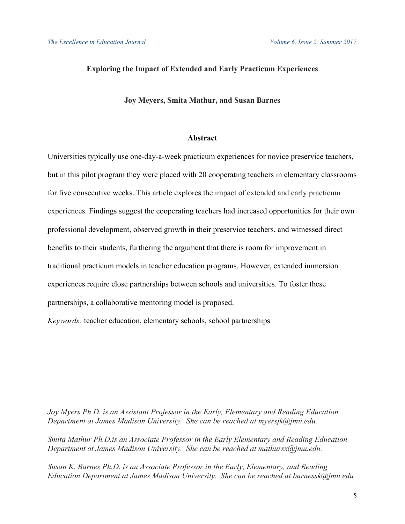# **Exploring the Impact of Extended and Early Practicum Experiences**

## **Joy Meyers, Smita Mathur, and Susan Barnes**

# **Abstract**

Universities typically use one-day-a-week practicum experiences for novice preservice teachers, but in this pilot program they were placed with 20 cooperating teachers in elementary classrooms for five consecutive weeks. This article explores the impact of extended and early practicum experiences. Findings suggest the cooperating teachers had increased opportunities for their own professional development, observed growth in their preservice teachers, and witnessed direct benefits to their students, furthering the argument that there is room for improvement in traditional practicum models in teacher education programs. However, extended immersion experiences require close partnerships between schools and universities. To foster these partnerships, a collaborative mentoring model is proposed.

*Keywords:* teacher education, elementary schools, school partnerships

*Joy Myers Ph.D. is an Assistant Professor in the Early, Elementary and Reading Education Department at James Madison University. She can be reached at myersjk@jmu.edu.*

*Smita Mathur Ph.D.is an Associate Professor in the Early Elementary and Reading Education Department at James Madison University. She can be reached at mathursx@jmu.edu.*

*Susan K. Barnes Ph.D. is an Associate Professor in the Early, Elementary, and Reading Education Department at James Madison University. She can be reached at barnessk@jmu.edu*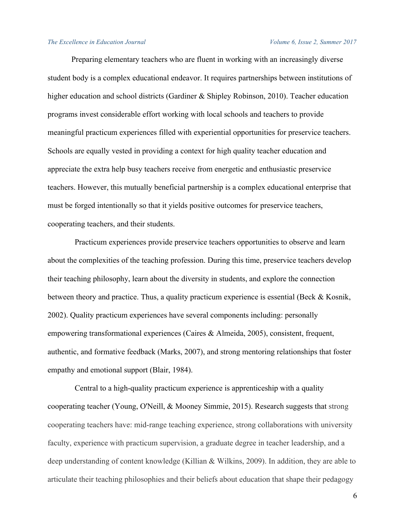Preparing elementary teachers who are fluent in working with an increasingly diverse student body is a complex educational endeavor. It requires partnerships between institutions of higher education and school districts (Gardiner & Shipley Robinson, 2010). Teacher education programs invest considerable effort working with local schools and teachers to provide meaningful practicum experiences filled with experiential opportunities for preservice teachers. Schools are equally vested in providing a context for high quality teacher education and appreciate the extra help busy teachers receive from energetic and enthusiastic preservice teachers. However, this mutually beneficial partnership is a complex educational enterprise that must be forged intentionally so that it yields positive outcomes for preservice teachers, cooperating teachers, and their students.

Practicum experiences provide preservice teachers opportunities to observe and learn about the complexities of the teaching profession. During this time, preservice teachers develop their teaching philosophy, learn about the diversity in students, and explore the connection between theory and practice. Thus, a quality practicum experience is essential (Beck & Kosnik, 2002). Quality practicum experiences have several components including: personally empowering transformational experiences (Caires & Almeida, 2005), consistent, frequent, authentic, and formative feedback (Marks, 2007), and strong mentoring relationships that foster empathy and emotional support (Blair, 1984).

Central to a high-quality practicum experience is apprenticeship with a quality cooperating teacher (Young, O'Neill, & Mooney Simmie, 2015). Research suggests that strong cooperating teachers have: mid-range teaching experience, strong collaborations with university faculty, experience with practicum supervision, a graduate degree in teacher leadership, and a deep understanding of content knowledge (Killian & Wilkins, 2009). In addition, they are able to articulate their teaching philosophies and their beliefs about education that shape their pedagogy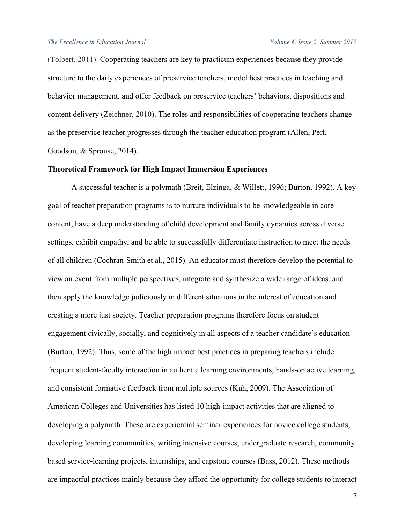(Tolbert, 2011). Cooperating teachers are key to practicum experiences because they provide structure to the daily experiences of preservice teachers, model best practices in teaching and behavior management, and offer feedback on preservice teachers' behaviors, dispositions and content delivery (Zeichner, 2010). The roles and responsibilities of cooperating teachers change as the preservice teacher progresses through the teacher education program (Allen, Perl, Goodson, & Sprouse, 2014).

## **Theoretical Framework for High Impact Immersion Experiences**

A successful teacher is a polymath (Breit, Elzinga, & Willett, 1996; Burton, 1992). A key goal of teacher preparation programs is to nurture individuals to be knowledgeable in core content, have a deep understanding of child development and family dynamics across diverse settings, exhibit empathy, and be able to successfully differentiate instruction to meet the needs of all children (Cochran-Smith et al., 2015). An educator must therefore develop the potential to view an event from multiple perspectives, integrate and synthesize a wide range of ideas, and then apply the knowledge judiciously in different situations in the interest of education and creating a more just society. Teacher preparation programs therefore focus on student engagement civically, socially, and cognitively in all aspects of a teacher candidate's education (Burton, 1992). Thus, some of the high impact best practices in preparing teachers include frequent student-faculty interaction in authentic learning environments, hands-on active learning, and consistent formative feedback from multiple sources (Kuh, 2009). The Association of American Colleges and Universities has listed 10 high-impact activities that are aligned to developing a polymath. These are experiential seminar experiences for novice college students, developing learning communities, writing intensive courses, undergraduate research, community based service-learning projects, internships, and capstone courses (Bass, 2012). These methods are impactful practices mainly because they afford the opportunity for college students to interact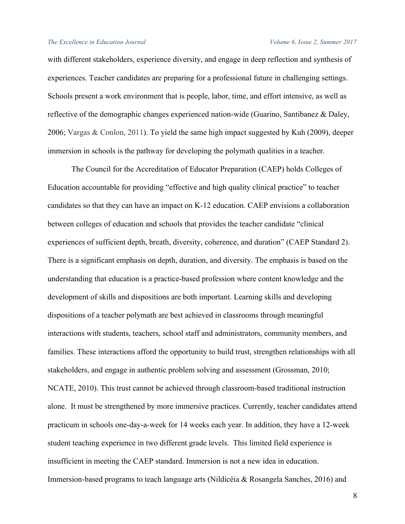with different stakeholders, experience diversity, and engage in deep reflection and synthesis of experiences. Teacher candidates are preparing for a professional future in challenging settings. Schools present a work environment that is people, labor, time, and effort intensive, as well as reflective of the demographic changes experienced nation-wide (Guarino, Santibanez & Daley, 2006; Vargas & Conlon, 2011). To yield the same high impact suggested by Kuh (2009), deeper immersion in schools is the pathway for developing the polymath qualities in a teacher.

The Council for the Accreditation of Educator Preparation (CAEP) holds Colleges of Education accountable for providing "effective and high quality clinical practice" to teacher candidates so that they can have an impact on K-12 education. CAEP envisions a collaboration between colleges of education and schools that provides the teacher candidate "clinical experiences of sufficient depth, breath, diversity, coherence, and duration" (CAEP Standard 2). There is a significant emphasis on depth, duration, and diversity. The emphasis is based on the understanding that education is a practice-based profession where content knowledge and the development of skills and dispositions are both important. Learning skills and developing dispositions of a teacher polymath are best achieved in classrooms through meaningful interactions with students, teachers, school staff and administrators, community members, and families. These interactions afford the opportunity to build trust, strengthen relationships with all stakeholders, and engage in authentic problem solving and assessment (Grossman, 2010; NCATE, 2010). This trust cannot be achieved through classroom-based traditional instruction alone. It must be strengthened by more immersive practices. Currently, teacher candidates attend practicum in schools one-day-a-week for 14 weeks each year. In addition, they have a 12-week student teaching experience in two different grade levels. This limited field experience is insufficient in meeting the CAEP standard. Immersion is not a new idea in education. Immersion-based programs to teach language arts (Nildicéia & Rosangela Sanches, 2016) and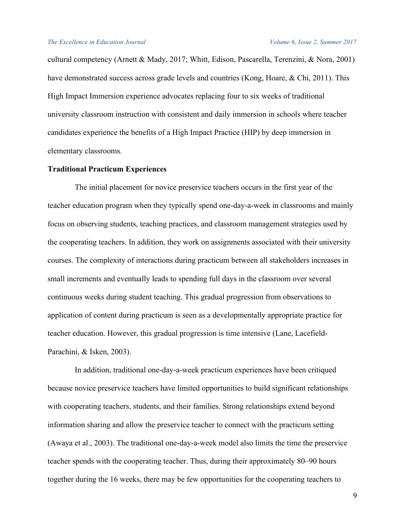cultural competency (Arnett & Mady, 2017; Whitt, Edison, Pascarella, Terenzini, & Nora, 2001) have demonstrated success across grade levels and countries (Kong, Hoare, & Chi, 2011). This High Impact Immersion experience advocates replacing four to six weeks of traditional university classroom instruction with consistent and daily immersion in schools where teacher candidates experience the benefits of a High Impact Practice (HIP) by deep immersion in elementary classrooms.

# **Traditional Practicum Experiences**

The initial placement for novice preservice teachers occurs in the first year of the teacher education program when they typically spend one-day-a-week in classrooms and mainly focus on observing students, teaching practices, and classroom management strategies used by the cooperating teachers. In addition, they work on assignments associated with their university courses. The complexity of interactions during practicum between all stakeholders increases in small increments and eventually leads to spending full days in the classroom over several continuous weeks during student teaching. This gradual progression from observations to application of content during practicum is seen as a developmentally appropriate practice for teacher education. However, this gradual progression is time intensive (Lane, Lacefield-Parachini, & Isken, 2003).

In addition, traditional one-day-a-week practicum experiences have been critiqued because novice preservice teachers have limited opportunities to build significant relationships with cooperating teachers, students, and their families. Strong relationships extend beyond information sharing and allow the preservice teacher to connect with the practicum setting (Awaya et al., 2003). The traditional one-day-a-week model also limits the time the preservice teacher spends with the cooperating teacher. Thus, during their approximately 80–90 hours together during the 16 weeks, there may be few opportunities for the cooperating teachers to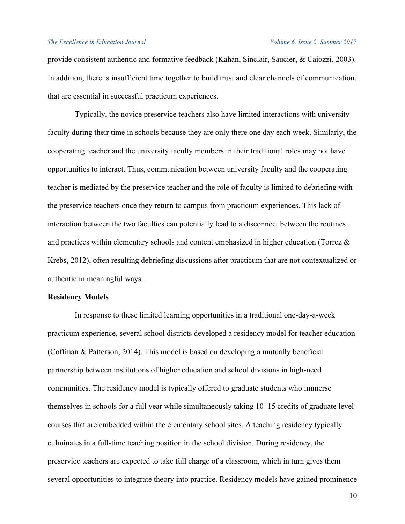provide consistent authentic and formative feedback (Kahan, Sinclair, Saucier, & Caiozzi, 2003). In addition, there is insufficient time together to build trust and clear channels of communication, that are essential in successful practicum experiences.

Typically, the novice preservice teachers also have limited interactions with university faculty during their time in schools because they are only there one day each week. Similarly, the cooperating teacher and the university faculty members in their traditional roles may not have opportunities to interact. Thus, communication between university faculty and the cooperating teacher is mediated by the preservice teacher and the role of faculty is limited to debriefing with the preservice teachers once they return to campus from practicum experiences. This lack of interaction between the two faculties can potentially lead to a disconnect between the routines and practices within elementary schools and content emphasized in higher education (Torrez & Krebs, 2012), often resulting debriefing discussions after practicum that are not contextualized or authentic in meaningful ways.

# **Residency Models**

In response to these limited learning opportunities in a traditional one-day-a-week practicum experience, several school districts developed a residency model for teacher education (Coffman & Patterson, 2014). This model is based on developing a mutually beneficial partnership between institutions of higher education and school divisions in high-need communities. The residency model is typically offered to graduate students who immerse themselves in schools for a full year while simultaneously taking 10–15 credits of graduate level courses that are embedded within the elementary school sites. A teaching residency typically culminates in a full-time teaching position in the school division. During residency, the preservice teachers are expected to take full charge of a classroom, which in turn gives them several opportunities to integrate theory into practice. Residency models have gained prominence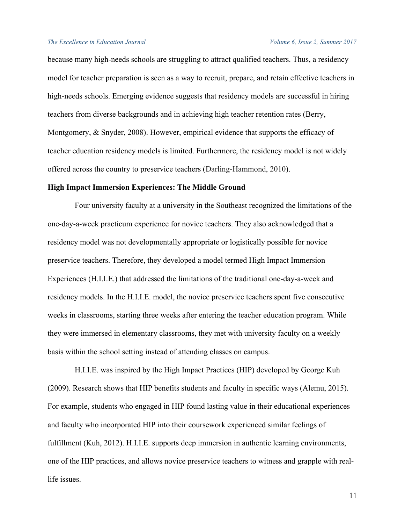because many high-needs schools are struggling to attract qualified teachers. Thus, a residency model for teacher preparation is seen as a way to recruit, prepare, and retain effective teachers in high-needs schools. Emerging evidence suggests that residency models are successful in hiring teachers from diverse backgrounds and in achieving high teacher retention rates (Berry, Montgomery, & Snyder, 2008). However, empirical evidence that supports the efficacy of teacher education residency models is limited. Furthermore, the residency model is not widely offered across the country to preservice teachers (Darling-Hammond, 2010).

# **High Impact Immersion Experiences: The Middle Ground**

Four university faculty at a university in the Southeast recognized the limitations of the one-day-a-week practicum experience for novice teachers. They also acknowledged that a residency model was not developmentally appropriate or logistically possible for novice preservice teachers. Therefore, they developed a model termed High Impact Immersion Experiences (H.I.I.E.) that addressed the limitations of the traditional one-day-a-week and residency models. In the H.I.I.E. model, the novice preservice teachers spent five consecutive weeks in classrooms, starting three weeks after entering the teacher education program. While they were immersed in elementary classrooms, they met with university faculty on a weekly basis within the school setting instead of attending classes on campus.

H.I.I.E. was inspired by the High Impact Practices (HIP) developed by George Kuh (2009). Research shows that HIP benefits students and faculty in specific ways (Alemu, 2015). For example, students who engaged in HIP found lasting value in their educational experiences and faculty who incorporated HIP into their coursework experienced similar feelings of fulfillment (Kuh, 2012). H.I.I.E. supports deep immersion in authentic learning environments, one of the HIP practices, and allows novice preservice teachers to witness and grapple with reallife issues.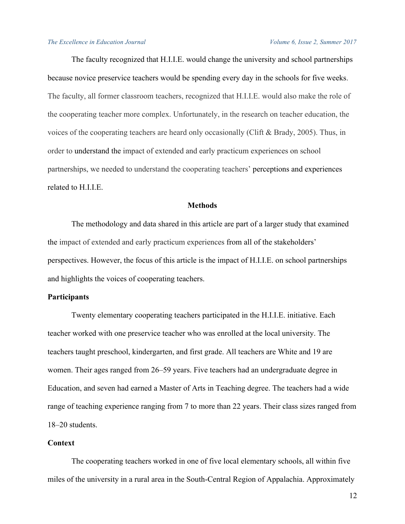The faculty recognized that H.I.I.E. would change the university and school partnerships because novice preservice teachers would be spending every day in the schools for five weeks. The faculty, all former classroom teachers, recognized that H.I.I.E. would also make the role of the cooperating teacher more complex. Unfortunately, in the research on teacher education, the voices of the cooperating teachers are heard only occasionally (Clift & Brady, 2005). Thus, in order to understand the impact of extended and early practicum experiences on school partnerships, we needed to understand the cooperating teachers' perceptions and experiences related to H.I.I.E.

# **Methods**

The methodology and data shared in this article are part of a larger study that examined the impact of extended and early practicum experiences from all of the stakeholders' perspectives. However, the focus of this article is the impact of H.I.I.E. on school partnerships and highlights the voices of cooperating teachers.

# **Participants**

Twenty elementary cooperating teachers participated in the H.I.I.E. initiative. Each teacher worked with one preservice teacher who was enrolled at the local university. The teachers taught preschool, kindergarten, and first grade. All teachers are White and 19 are women. Their ages ranged from 26–59 years. Five teachers had an undergraduate degree in Education, and seven had earned a Master of Arts in Teaching degree. The teachers had a wide range of teaching experience ranging from 7 to more than 22 years. Their class sizes ranged from 18–20 students.

# **Context**

The cooperating teachers worked in one of five local elementary schools, all within five miles of the university in a rural area in the South-Central Region of Appalachia. Approximately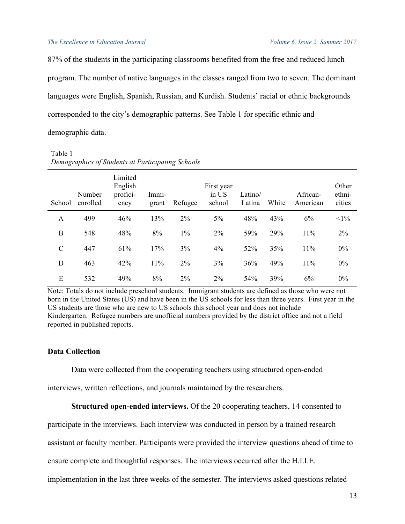87% of the students in the participating classrooms benefited from the free and reduced lunch program. The number of native languages in the classes ranged from two to seven. The dominant languages were English, Spanish, Russian, and Kurdish. Students' racial or ethnic backgrounds corresponded to the city's demographic patterns. See Table 1 for specific ethnic and demographic data.

| Table 1                                           |  |
|---------------------------------------------------|--|
| Demographics of Students at Participating Schools |  |

| School        | Number<br>enrolled | Limited<br>English<br>profici-<br>ency | Immi-<br>grant | Refugee | First year<br>in US<br>school | Latino/<br>Latina | White | African-<br>American | Other<br>ethni-<br>cities |
|---------------|--------------------|----------------------------------------|----------------|---------|-------------------------------|-------------------|-------|----------------------|---------------------------|
| A             | 499                | 46%                                    | 13%            | $2\%$   | $5\%$                         | 48%               | 43%   | 6%                   | $<1\%$                    |
| B             | 548                | 48%                                    | 8%             | $1\%$   | 2%                            | 59%               | 29%   | 11%                  | 2%                        |
| $\mathcal{C}$ | 447                | 61%                                    | 17%            | 3%      | 4%                            | 52%               | 35%   | 11%                  | $0\%$                     |
| D             | 463                | 42%                                    | 11%            | $2\%$   | 3%                            | 36%               | 49%   | 11%                  | $0\%$                     |
| E             | 532                | 49%                                    | 8%             | $2\%$   | $2\%$                         | 54%               | 39%   | 6%                   | $0\%$                     |

Note: Totals do not include preschool students. Immigrant students are defined as those who were not born in the United States (US) and have been in the US schools for less than three years. First year in the US students are those who are new to US schools this school year and does not include Kindergarten. Refugee numbers are unofficial numbers provided by the district office and not a field reported in published reports.

# **Data Collection**

Data were collected from the cooperating teachers using structured open-ended

interviews, written reflections, and journals maintained by the researchers.

# **Structured open-ended interviews.** Of the 20 cooperating teachers, 14 consented to

participate in the interviews. Each interview was conducted in person by a trained research

assistant or faculty member. Participants were provided the interview questions ahead of time to

ensure complete and thoughtful responses. The interviews occurred after the H.I.I.E.

implementation in the last three weeks of the semester. The interviews asked questions related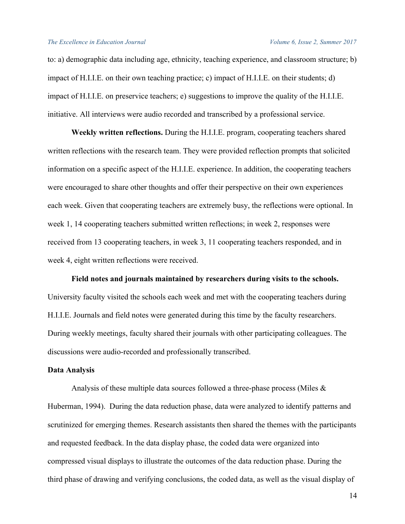to: a) demographic data including age, ethnicity, teaching experience, and classroom structure; b) impact of H.I.I.E. on their own teaching practice; c) impact of H.I.I.E. on their students; d) impact of H.I.I.E. on preservice teachers; e) suggestions to improve the quality of the H.I.I.E. initiative. All interviews were audio recorded and transcribed by a professional service.

**Weekly written reflections.** During the H.I.I.E. program, cooperating teachers shared written reflections with the research team. They were provided reflection prompts that solicited information on a specific aspect of the H.I.I.E. experience. In addition, the cooperating teachers were encouraged to share other thoughts and offer their perspective on their own experiences each week. Given that cooperating teachers are extremely busy, the reflections were optional. In week 1, 14 cooperating teachers submitted written reflections; in week 2, responses were received from 13 cooperating teachers, in week 3, 11 cooperating teachers responded, and in week 4, eight written reflections were received.

**Field notes and journals maintained by researchers during visits to the schools.** University faculty visited the schools each week and met with the cooperating teachers during H.I.I.E. Journals and field notes were generated during this time by the faculty researchers. During weekly meetings, faculty shared their journals with other participating colleagues. The discussions were audio-recorded and professionally transcribed.

# **Data Analysis**

Analysis of these multiple data sources followed a three-phase process (Miles  $\&$ Huberman, 1994). During the data reduction phase, data were analyzed to identify patterns and scrutinized for emerging themes. Research assistants then shared the themes with the participants and requested feedback. In the data display phase, the coded data were organized into compressed visual displays to illustrate the outcomes of the data reduction phase. During the third phase of drawing and verifying conclusions, the coded data, as well as the visual display of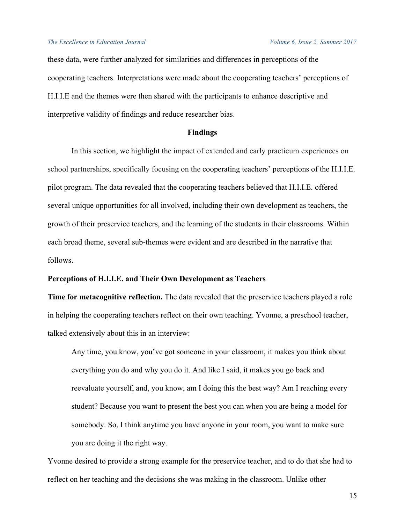these data, were further analyzed for similarities and differences in perceptions of the cooperating teachers. Interpretations were made about the cooperating teachers' perceptions of H.I.I.E and the themes were then shared with the participants to enhance descriptive and interpretive validity of findings and reduce researcher bias.

# **Findings**

In this section, we highlight the impact of extended and early practicum experiences on school partnerships, specifically focusing on the cooperating teachers' perceptions of the H.I.I.E. pilot program. The data revealed that the cooperating teachers believed that H.I.I.E. offered several unique opportunities for all involved, including their own development as teachers, the growth of their preservice teachers, and the learning of the students in their classrooms. Within each broad theme, several sub-themes were evident and are described in the narrative that follows.

## **Perceptions of H.I.I.E. and Their Own Development as Teachers**

**Time for metacognitive reflection.** The data revealed that the preservice teachers played a role in helping the cooperating teachers reflect on their own teaching. Yvonne, a preschool teacher, talked extensively about this in an interview:

Any time, you know, you've got someone in your classroom, it makes you think about everything you do and why you do it. And like I said, it makes you go back and reevaluate yourself, and, you know, am I doing this the best way? Am I reaching every student? Because you want to present the best you can when you are being a model for somebody. So, I think anytime you have anyone in your room, you want to make sure you are doing it the right way.

Yvonne desired to provide a strong example for the preservice teacher, and to do that she had to reflect on her teaching and the decisions she was making in the classroom. Unlike other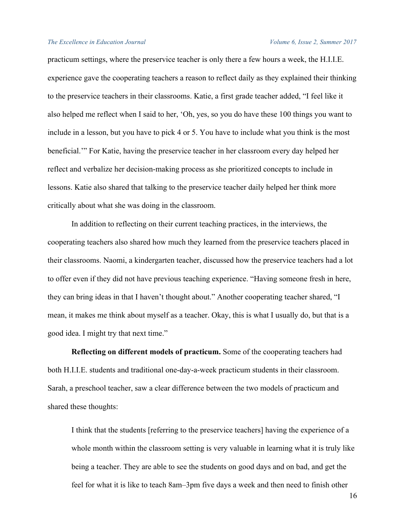practicum settings, where the preservice teacher is only there a few hours a week, the H.I.I.E. experience gave the cooperating teachers a reason to reflect daily as they explained their thinking to the preservice teachers in their classrooms. Katie, a first grade teacher added, "I feel like it also helped me reflect when I said to her, 'Oh, yes, so you do have these 100 things you want to include in a lesson, but you have to pick 4 or 5. You have to include what you think is the most beneficial.'" For Katie, having the preservice teacher in her classroom every day helped her reflect and verbalize her decision-making process as she prioritized concepts to include in lessons. Katie also shared that talking to the preservice teacher daily helped her think more critically about what she was doing in the classroom.

In addition to reflecting on their current teaching practices, in the interviews, the cooperating teachers also shared how much they learned from the preservice teachers placed in their classrooms. Naomi, a kindergarten teacher, discussed how the preservice teachers had a lot to offer even if they did not have previous teaching experience. "Having someone fresh in here, they can bring ideas in that I haven't thought about." Another cooperating teacher shared, "I mean, it makes me think about myself as a teacher. Okay, this is what I usually do, but that is a good idea. I might try that next time."

**Reflecting on different models of practicum.** Some of the cooperating teachers had both H.I.I.E. students and traditional one-day-a-week practicum students in their classroom. Sarah, a preschool teacher, saw a clear difference between the two models of practicum and shared these thoughts:

I think that the students [referring to the preservice teachers] having the experience of a whole month within the classroom setting is very valuable in learning what it is truly like being a teacher. They are able to see the students on good days and on bad, and get the feel for what it is like to teach 8am–3pm five days a week and then need to finish other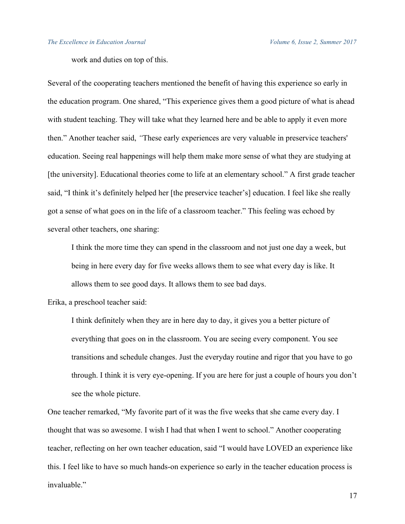work and duties on top of this.

Several of the cooperating teachers mentioned the benefit of having this experience so early in the education program. One shared, "This experience gives them a good picture of what is ahead with student teaching. They will take what they learned here and be able to apply it even more then." Another teacher said, *"*These early experiences are very valuable in preservice teachers' education. Seeing real happenings will help them make more sense of what they are studying at [the university]. Educational theories come to life at an elementary school." A first grade teacher said, "I think it's definitely helped her [the preservice teacher's] education. I feel like she really got a sense of what goes on in the life of a classroom teacher." This feeling was echoed by several other teachers, one sharing:

I think the more time they can spend in the classroom and not just one day a week, but being in here every day for five weeks allows them to see what every day is like. It allows them to see good days. It allows them to see bad days.

Erika, a preschool teacher said:

I think definitely when they are in here day to day, it gives you a better picture of everything that goes on in the classroom. You are seeing every component. You see transitions and schedule changes. Just the everyday routine and rigor that you have to go through. I think it is very eye-opening. If you are here for just a couple of hours you don't see the whole picture.

One teacher remarked, "My favorite part of it was the five weeks that she came every day. I thought that was so awesome. I wish I had that when I went to school." Another cooperating teacher, reflecting on her own teacher education, said "I would have LOVED an experience like this. I feel like to have so much hands-on experience so early in the teacher education process is invaluable."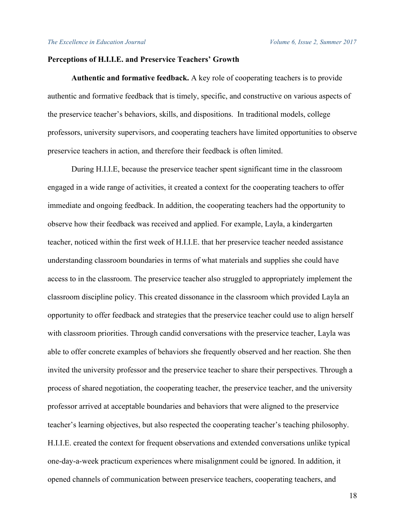# **Perceptions of H.I.I.E. and Preservice Teachers' Growth**

**Authentic and formative feedback.** A key role of cooperating teachers is to provide authentic and formative feedback that is timely, specific, and constructive on various aspects of the preservice teacher's behaviors, skills, and dispositions. In traditional models, college professors, university supervisors, and cooperating teachers have limited opportunities to observe preservice teachers in action, and therefore their feedback is often limited.

During H.I.I.E, because the preservice teacher spent significant time in the classroom engaged in a wide range of activities, it created a context for the cooperating teachers to offer immediate and ongoing feedback. In addition, the cooperating teachers had the opportunity to observe how their feedback was received and applied. For example, Layla, a kindergarten teacher, noticed within the first week of H.I.I.E. that her preservice teacher needed assistance understanding classroom boundaries in terms of what materials and supplies she could have access to in the classroom. The preservice teacher also struggled to appropriately implement the classroom discipline policy. This created dissonance in the classroom which provided Layla an opportunity to offer feedback and strategies that the preservice teacher could use to align herself with classroom priorities. Through candid conversations with the preservice teacher, Layla was able to offer concrete examples of behaviors she frequently observed and her reaction. She then invited the university professor and the preservice teacher to share their perspectives. Through a process of shared negotiation, the cooperating teacher, the preservice teacher, and the university professor arrived at acceptable boundaries and behaviors that were aligned to the preservice teacher's learning objectives, but also respected the cooperating teacher's teaching philosophy. H.I.I.E. created the context for frequent observations and extended conversations unlike typical one-day-a-week practicum experiences where misalignment could be ignored. In addition, it opened channels of communication between preservice teachers, cooperating teachers, and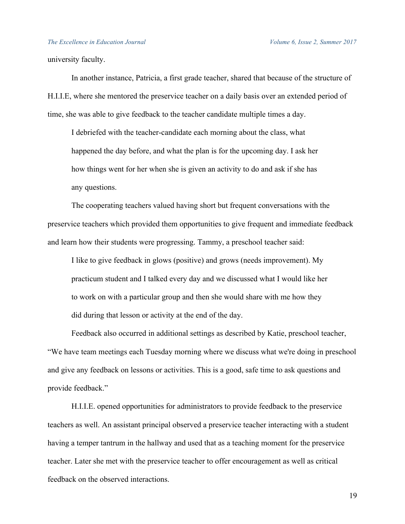university faculty.

In another instance, Patricia, a first grade teacher, shared that because of the structure of H.I.I.E, where she mentored the preservice teacher on a daily basis over an extended period of time, she was able to give feedback to the teacher candidate multiple times a day.

I debriefed with the teacher-candidate each morning about the class, what happened the day before, and what the plan is for the upcoming day. I ask her how things went for her when she is given an activity to do and ask if she has any questions.

The cooperating teachers valued having short but frequent conversations with the preservice teachers which provided them opportunities to give frequent and immediate feedback and learn how their students were progressing. Tammy, a preschool teacher said:

I like to give feedback in glows (positive) and grows (needs improvement). My practicum student and I talked every day and we discussed what I would like her to work on with a particular group and then she would share with me how they did during that lesson or activity at the end of the day.

Feedback also occurred in additional settings as described by Katie, preschool teacher, "We have team meetings each Tuesday morning where we discuss what we're doing in preschool and give any feedback on lessons or activities. This is a good, safe time to ask questions and provide feedback."

H.I.I.E. opened opportunities for administrators to provide feedback to the preservice teachers as well. An assistant principal observed a preservice teacher interacting with a student having a temper tantrum in the hallway and used that as a teaching moment for the preservice teacher. Later she met with the preservice teacher to offer encouragement as well as critical feedback on the observed interactions.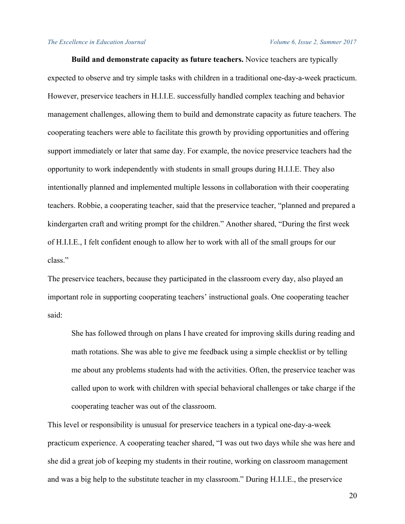**Build and demonstrate capacity as future teachers.** Novice teachers are typically expected to observe and try simple tasks with children in a traditional one-day-a-week practicum. However, preservice teachers in H.I.I.E. successfully handled complex teaching and behavior management challenges, allowing them to build and demonstrate capacity as future teachers. The cooperating teachers were able to facilitate this growth by providing opportunities and offering support immediately or later that same day. For example, the novice preservice teachers had the opportunity to work independently with students in small groups during H.I.I.E. They also intentionally planned and implemented multiple lessons in collaboration with their cooperating teachers. Robbie, a cooperating teacher, said that the preservice teacher, "planned and prepared a kindergarten craft and writing prompt for the children." Another shared, "During the first week of H.I.I.E., I felt confident enough to allow her to work with all of the small groups for our class."

The preservice teachers, because they participated in the classroom every day, also played an important role in supporting cooperating teachers' instructional goals. One cooperating teacher said:

She has followed through on plans I have created for improving skills during reading and math rotations. She was able to give me feedback using a simple checklist or by telling me about any problems students had with the activities. Often, the preservice teacher was called upon to work with children with special behavioral challenges or take charge if the cooperating teacher was out of the classroom.

This level or responsibility is unusual for preservice teachers in a typical one-day-a-week practicum experience. A cooperating teacher shared, "I was out two days while she was here and she did a great job of keeping my students in their routine, working on classroom management and was a big help to the substitute teacher in my classroom." During H.I.I.E., the preservice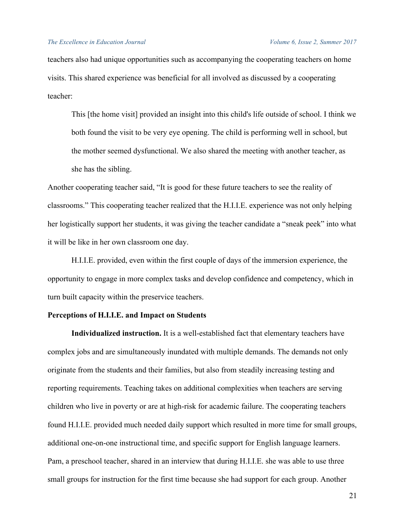teachers also had unique opportunities such as accompanying the cooperating teachers on home visits. This shared experience was beneficial for all involved as discussed by a cooperating teacher:

This [the home visit] provided an insight into this child's life outside of school. I think we both found the visit to be very eye opening. The child is performing well in school, but the mother seemed dysfunctional. We also shared the meeting with another teacher, as she has the sibling.

Another cooperating teacher said, "It is good for these future teachers to see the reality of classrooms." This cooperating teacher realized that the H.I.I.E. experience was not only helping her logistically support her students, it was giving the teacher candidate a "sneak peek" into what it will be like in her own classroom one day.

H.I.I.E. provided, even within the first couple of days of the immersion experience, the opportunity to engage in more complex tasks and develop confidence and competency, which in turn built capacity within the preservice teachers.

# **Perceptions of H.I.I.E. and Impact on Students**

**Individualized instruction.** It is a well-established fact that elementary teachers have complex jobs and are simultaneously inundated with multiple demands. The demands not only originate from the students and their families, but also from steadily increasing testing and reporting requirements. Teaching takes on additional complexities when teachers are serving children who live in poverty or are at high-risk for academic failure. The cooperating teachers found H.I.I.E. provided much needed daily support which resulted in more time for small groups, additional one-on-one instructional time, and specific support for English language learners. Pam, a preschool teacher, shared in an interview that during H.I.I.E. she was able to use three small groups for instruction for the first time because she had support for each group. Another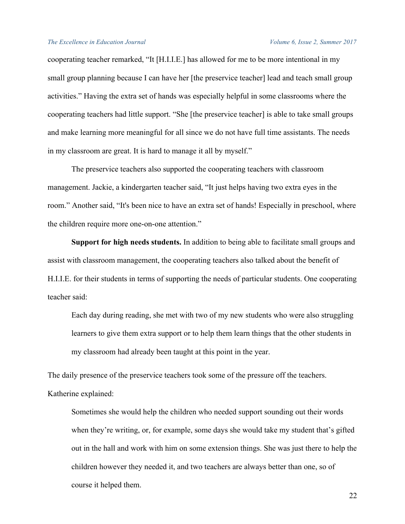cooperating teacher remarked, "It [H.I.I.E.] has allowed for me to be more intentional in my small group planning because I can have her [the preservice teacher] lead and teach small group activities." Having the extra set of hands was especially helpful in some classrooms where the cooperating teachers had little support. "She [the preservice teacher] is able to take small groups and make learning more meaningful for all since we do not have full time assistants. The needs in my classroom are great. It is hard to manage it all by myself."

The preservice teachers also supported the cooperating teachers with classroom management. Jackie, a kindergarten teacher said, "It just helps having two extra eyes in the room." Another said, "It's been nice to have an extra set of hands! Especially in preschool, where the children require more one-on-one attention."

**Support for high needs students.** In addition to being able to facilitate small groups and assist with classroom management, the cooperating teachers also talked about the benefit of H.I.I.E. for their students in terms of supporting the needs of particular students. One cooperating teacher said:

Each day during reading, she met with two of my new students who were also struggling learners to give them extra support or to help them learn things that the other students in my classroom had already been taught at this point in the year.

The daily presence of the preservice teachers took some of the pressure off the teachers. Katherine explained:

Sometimes she would help the children who needed support sounding out their words when they're writing, or, for example, some days she would take my student that's gifted out in the hall and work with him on some extension things. She was just there to help the children however they needed it, and two teachers are always better than one, so of course it helped them.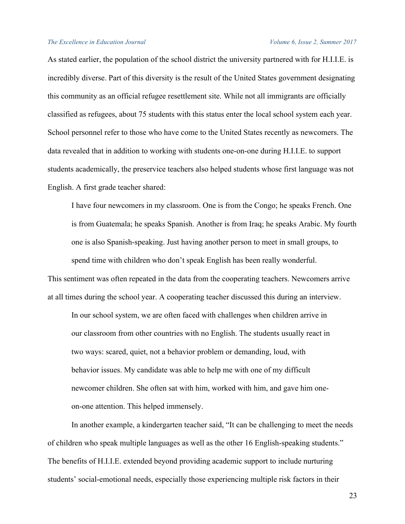As stated earlier, the population of the school district the university partnered with for H.I.I.E. is incredibly diverse. Part of this diversity is the result of the United States government designating this community as an official refugee resettlement site. While not all immigrants are officially classified as refugees, about 75 students with this status enter the local school system each year. School personnel refer to those who have come to the United States recently as newcomers. The data revealed that in addition to working with students one-on-one during H.I.I.E. to support students academically, the preservice teachers also helped students whose first language was not English. A first grade teacher shared:

I have four newcomers in my classroom. One is from the Congo; he speaks French. One is from Guatemala; he speaks Spanish. Another is from Iraq; he speaks Arabic. My fourth one is also Spanish-speaking. Just having another person to meet in small groups, to spend time with children who don't speak English has been really wonderful.

This sentiment was often repeated in the data from the cooperating teachers. Newcomers arrive at all times during the school year. A cooperating teacher discussed this during an interview.

In our school system, we are often faced with challenges when children arrive in our classroom from other countries with no English. The students usually react in two ways: scared, quiet, not a behavior problem or demanding, loud, with behavior issues. My candidate was able to help me with one of my difficult newcomer children. She often sat with him, worked with him, and gave him oneon-one attention. This helped immensely.

In another example, a kindergarten teacher said, "It can be challenging to meet the needs of children who speak multiple languages as well as the other 16 English-speaking students." The benefits of H.I.I.E. extended beyond providing academic support to include nurturing students' social-emotional needs, especially those experiencing multiple risk factors in their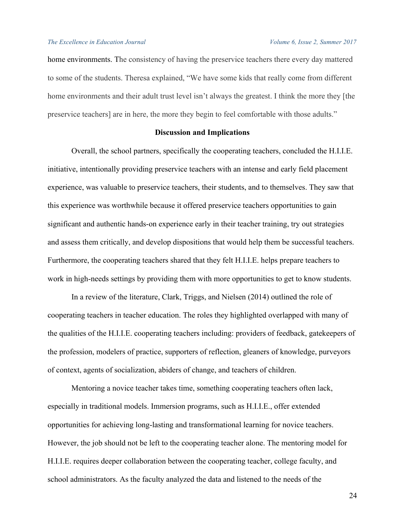home environments. The consistency of having the preservice teachers there every day mattered to some of the students. Theresa explained, "We have some kids that really come from different home environments and their adult trust level isn't always the greatest. I think the more they [the preservice teachers] are in here, the more they begin to feel comfortable with those adults."

# **Discussion and Implications**

Overall, the school partners, specifically the cooperating teachers, concluded the H.I.I.E. initiative, intentionally providing preservice teachers with an intense and early field placement experience, was valuable to preservice teachers, their students, and to themselves. They saw that this experience was worthwhile because it offered preservice teachers opportunities to gain significant and authentic hands-on experience early in their teacher training, try out strategies and assess them critically, and develop dispositions that would help them be successful teachers. Furthermore, the cooperating teachers shared that they felt H.I.I.E. helps prepare teachers to work in high-needs settings by providing them with more opportunities to get to know students.

In a review of the literature, Clark, Triggs, and Nielsen (2014) outlined the role of cooperating teachers in teacher education. The roles they highlighted overlapped with many of the qualities of the H.I.I.E. cooperating teachers including: providers of feedback, gatekeepers of the profession, modelers of practice, supporters of reflection, gleaners of knowledge, purveyors of context, agents of socialization, abiders of change, and teachers of children.

Mentoring a novice teacher takes time, something cooperating teachers often lack, especially in traditional models. Immersion programs, such as H.I.I.E., offer extended opportunities for achieving long-lasting and transformational learning for novice teachers. However, the job should not be left to the cooperating teacher alone. The mentoring model for H.I.I.E. requires deeper collaboration between the cooperating teacher, college faculty, and school administrators. As the faculty analyzed the data and listened to the needs of the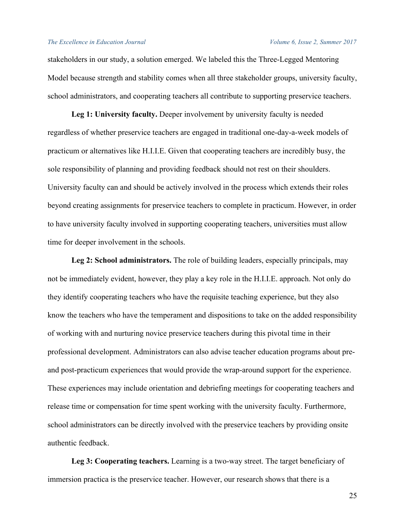stakeholders in our study, a solution emerged. We labeled this the Three-Legged Mentoring Model because strength and stability comes when all three stakeholder groups, university faculty, school administrators, and cooperating teachers all contribute to supporting preservice teachers.

Leg 1: University faculty. Deeper involvement by university faculty is needed regardless of whether preservice teachers are engaged in traditional one-day-a-week models of practicum or alternatives like H.I.I.E. Given that cooperating teachers are incredibly busy, the sole responsibility of planning and providing feedback should not rest on their shoulders. University faculty can and should be actively involved in the process which extends their roles beyond creating assignments for preservice teachers to complete in practicum. However, in order to have university faculty involved in supporting cooperating teachers, universities must allow time for deeper involvement in the schools.

**Leg 2: School administrators.** The role of building leaders, especially principals, may not be immediately evident, however, they play a key role in the H.I.I.E. approach. Not only do they identify cooperating teachers who have the requisite teaching experience, but they also know the teachers who have the temperament and dispositions to take on the added responsibility of working with and nurturing novice preservice teachers during this pivotal time in their professional development. Administrators can also advise teacher education programs about preand post-practicum experiences that would provide the wrap-around support for the experience. These experiences may include orientation and debriefing meetings for cooperating teachers and release time or compensation for time spent working with the university faculty. Furthermore, school administrators can be directly involved with the preservice teachers by providing onsite authentic feedback.

**Leg 3: Cooperating teachers.** Learning is a two-way street. The target beneficiary of immersion practica is the preservice teacher. However, our research shows that there is a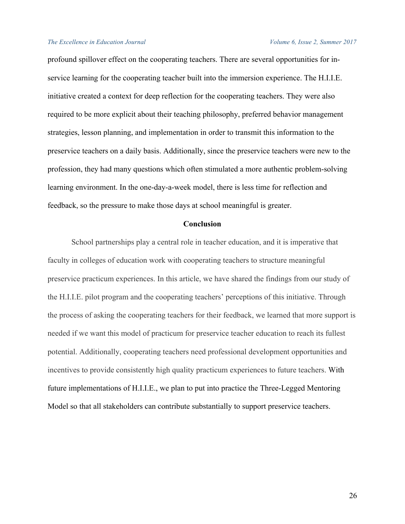profound spillover effect on the cooperating teachers. There are several opportunities for inservice learning for the cooperating teacher built into the immersion experience. The H.I.I.E. initiative created a context for deep reflection for the cooperating teachers. They were also required to be more explicit about their teaching philosophy, preferred behavior management strategies, lesson planning, and implementation in order to transmit this information to the preservice teachers on a daily basis. Additionally, since the preservice teachers were new to the profession, they had many questions which often stimulated a more authentic problem-solving learning environment. In the one-day-a-week model, there is less time for reflection and feedback, so the pressure to make those days at school meaningful is greater.

## **Conclusion**

School partnerships play a central role in teacher education, and it is imperative that faculty in colleges of education work with cooperating teachers to structure meaningful preservice practicum experiences. In this article, we have shared the findings from our study of the H.I.I.E. pilot program and the cooperating teachers' perceptions of this initiative. Through the process of asking the cooperating teachers for their feedback, we learned that more support is needed if we want this model of practicum for preservice teacher education to reach its fullest potential. Additionally, cooperating teachers need professional development opportunities and incentives to provide consistently high quality practicum experiences to future teachers. With future implementations of H.I.I.E., we plan to put into practice the Three-Legged Mentoring Model so that all stakeholders can contribute substantially to support preservice teachers.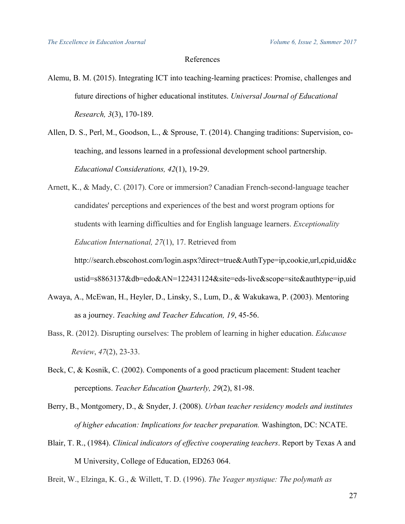# References

- Alemu, B. M. (2015). Integrating ICT into teaching-learning practices: Promise, challenges and future directions of higher educational institutes. *Universal Journal of Educational Research, 3*(3), 170-189.
- Allen, D. S., Perl, M., Goodson, L., & Sprouse, T. (2014). Changing traditions: Supervision, coteaching, and lessons learned in a professional development school partnership. *Educational Considerations, 42*(1), 19-29.
- Arnett, K., & Mady, C. (2017). Core or immersion? Canadian French-second-language teacher candidates' perceptions and experiences of the best and worst program options for students with learning difficulties and for English language learners. *Exceptionality Education International, 27*(1), 17. Retrieved from

http://search.ebscohost.com/login.aspx?direct=true&AuthType=ip,cookie,url,cpid,uid&c ustid=s8863137&db=edo&AN=122431124&site=eds-live&scope=site&authtype=ip,uid

- Awaya, A., McEwan, H., Heyler, D., Linsky, S., Lum, D., & Wakukawa, P. (2003). Mentoring as a journey. *Teaching and Teacher Education, 19*, 45-56.
- Bass, R. (2012). Disrupting ourselves: The problem of learning in higher education. *Educause Review*, *47*(2), 23-33.
- Beck, C, & Kosnik, C. (2002). Components of a good practicum placement: Student teacher perceptions. *Teacher Education Quarterly, 29*(2), 81-98.

Berry, B., Montgomery, D., & Snyder, J. (2008). *Urban teacher residency models and institutes of higher education: Implications for teacher preparation.* Washington, DC: NCATE.

- Blair, T. R., (1984). *Clinical indicators of effective cooperating teachers*. Report by Texas A and M University, College of Education, ED263 064.
- Breit, W., Elzinga, K. G., & Willett, T. D. (1996). *The Yeager mystique: The polymath as*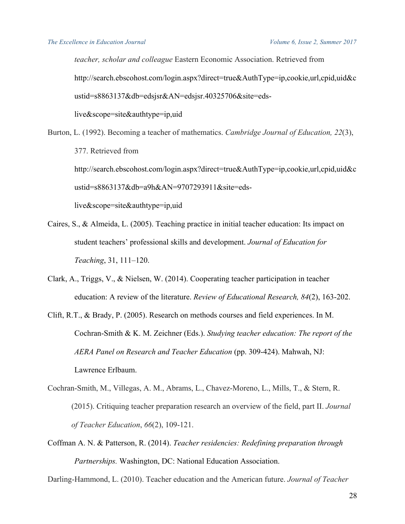*teacher, scholar and colleague* Eastern Economic Association. Retrieved from http://search.ebscohost.com/login.aspx?direct=true&AuthType=ip,cookie,url,cpid,uid&c ustid=s8863137&db=edsjsr&AN=edsjsr.40325706&site=edslive&scope=site&authtype=ip,uid

Burton, L. (1992). Becoming a teacher of mathematics. *Cambridge Journal of Education, 22*(3), 377. Retrieved from http://search.ebscohost.com/login.aspx?direct=true&AuthType=ip,cookie,url,cpid,uid&c ustid=s8863137&db=a9h&AN=9707293911&site=eds-

live&scope=site&authtype=ip,uid

- Caires, S., & Almeida, L. (2005). Teaching practice in initial teacher education: Its impact on student teachers' professional skills and development. *Journal of Education for Teaching*, 31, 111–120.
- Clark, A., Triggs, V., & Nielsen, W. (2014). Cooperating teacher participation in teacher education: A review of the literature. *Review of Educational Research, 84*(2), 163-202.
- Clift, R.T., & Brady, P. (2005). Research on methods courses and field experiences. In M. Cochran-Smith & K. M. Zeichner (Eds.). *Studying teacher education: The report of the AERA Panel on Research and Teacher Education* (pp. 309-424). Mahwah, NJ: Lawrence Erlbaum.
- Cochran-Smith, M., Villegas, A. M., Abrams, L., Chavez-Moreno, L., Mills, T., & Stern, R. (2015). Critiquing teacher preparation research an overview of the field, part II. *Journal of Teacher Education*, *66*(2), 109-121.
- Coffman A. N. & Patterson, R. (2014). *Teacher residencies: Redefining preparation through Partnerships.* Washington, DC: National Education Association.

Darling-Hammond, L. (2010). Teacher education and the American future. *Journal of Teacher*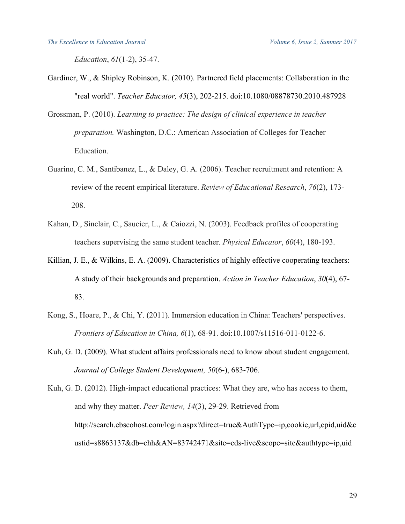*Education*, *61*(1-2), 35-47.

- Gardiner, W., & Shipley Robinson, K. (2010). Partnered field placements: Collaboration in the "real world". *Teacher Educator, 45*(3), 202-215. doi:10.1080/08878730.2010.487928
- Grossman, P. (2010). *Learning to practice: The design of clinical experience in teacher preparation.* Washington, D.C.: American Association of Colleges for Teacher Education.
- Guarino, C. M., Santibanez, L., & Daley, G. A. (2006). Teacher recruitment and retention: A review of the recent empirical literature. *Review of Educational Research*, *76*(2), 173- 208.
- Kahan, D., Sinclair, C., Saucier, L., & Caiozzi, N. (2003). Feedback profiles of cooperating teachers supervising the same student teacher. *Physical Educator*, *60*(4), 180-193.
- Killian, J. E., & Wilkins, E. A. (2009). Characteristics of highly effective cooperating teachers: A study of their backgrounds and preparation. *Action in Teacher Education*, *30*(4), 67- 83.
- Kong, S., Hoare, P., & Chi, Y. (2011). Immersion education in China: Teachers' perspectives. *Frontiers of Education in China, 6*(1), 68-91. doi:10.1007/s11516-011-0122-6.
- Kuh, G. D. (2009). What student affairs professionals need to know about student engagement. *Journal of College Student Development, 50*(6-), 683-706.

Kuh, G. D. (2012). High-impact educational practices: What they are, who has access to them, and why they matter. *Peer Review, 14*(3), 29-29. Retrieved from http://search.ebscohost.com/login.aspx?direct=true&AuthType=ip,cookie,url,cpid,uid&c ustid=s8863137&db=ehh&AN=83742471&site=eds-live&scope=site&authtype=ip,uid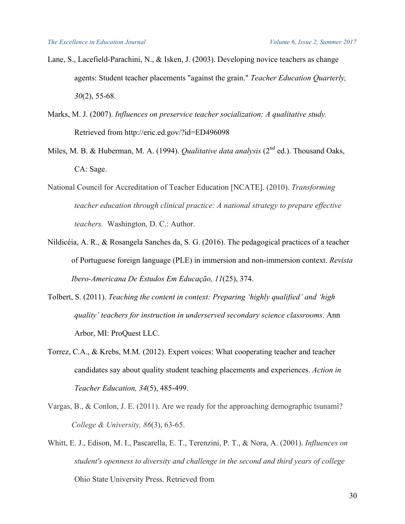- Lane, S., Lacefield-Parachini, N., & Isken, J. (2003). Developing novice teachers as change agents: Student teacher placements "against the grain." *Teacher Education Quarterly, 30*(2), 55-68.
- Marks, M. J. (2007). *Influences on preservice teacher socialization: A qualitative study.* Retrieved from http://eric.ed.gov/?id=ED496098
- Miles, M. B. & Huberman, M. A. (1994). *Qualitative data analysis* (2<sup>nd</sup> ed.). Thousand Oaks, CA: Sage.
- National Council for Accreditation of Teacher Education [NCATE]. (2010). *Transforming teacher education through clinical practice: A national strategy to prepare effective teachers.* Washington, D. C.: Author.
- Nildicéia, A. R., & Rosangela Sanches da, S. G. (2016). The pedagogical practices of a teacher of Portuguese foreign language (PLE) in immersion and non-immersion context. *Revista Ibero-Americana De Estudos Em Educação, 11*(25), 374.
- Tolbert, S. (2011). *Teaching the content in context: Preparing 'highly qualified' and 'high quality' teachers for instruction in underserved secondary science classrooms*. Ann Arbor, MI: ProQuest LLC.
- Torrez, C.A., & Krebs, M.M. (2012). Expert voices: What cooperating teacher and teacher candidates say about quality student teaching placements and experiences. *Action in Teacher Education, 34*(5), 485-499.
- Vargas, B., & Conlon, J. E. (2011). Are we ready for the approaching demographic tsunami? *College & University, 86*(3), 63-65.
- Whitt, E. J., Edison, M. I., Pascarella, E. T., Terenzini, P. T., & Nora, A. (2001). *Influences on student's openness to diversity and challenge in the second and third years of college* Ohio State University Press. Retrieved from